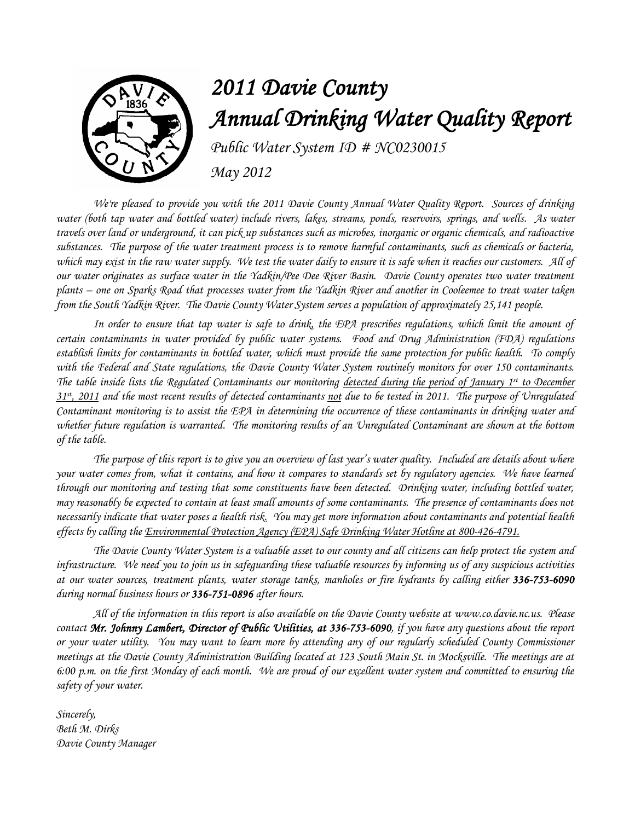

## *2011 Davie County Annual Drinking Water Quality Report*

*Public Water System ID # NC0230015 May 2012* 

*We're pleased to provide you with the 2011 Davie County Annual Water Quality Report. Sources of drinking water (both tap water and bottled water) include rivers, lakes, streams, ponds, reservoirs, springs, and wells. As water travels over land or underground, it can pick up substances such as microbes, inorganic or organic chemicals, and radioactive substances. The purpose of the water treatment process is to remove harmful contaminants, such as chemicals or bacteria, which may exist in the raw water supply. We test the water daily to ensure it is safe when it reaches our customers. All of our water originates as surface water in the Yadkin/Pee Dee River Basin. Davie County operates two water treatment plants – one on Sparks Road that processes water from the Yadkin River and another in Cooleemee to treat water taken from the South Yadkin River. The Davie County Water System serves a population of approximately 25,141 people.*

*In order to ensure that tap water is safe to drink, the EPA prescribes regulations, which limit the amount of certain contaminants in water provided by public water systems. Food and Drug Administration (FDA) regulations establish limits for contaminants in bottled water, which must provide the same protection for public health. To comply with the Federal and State regulations, the Davie County Water System routinely monitors for over 150 contaminants. The table inside lists the Regulated Contaminants our monitoring detected during the period of January 1st to December 31st , 2011 and the most recent results of detected contaminants not due to be tested in 2011. The purpose of Unregulated Contaminant monitoring is to assist the EPA in determining the occurrence of these contaminants in drinking water and whether future regulation is warranted. The monitoring results of an Unregulated Contaminant are shown at the bottom of the table.*

*The purpose of this report is to give you an overview of last year's water quality. Included are details about where your water comes from, what it contains, and how it compares to standards set by regulatory agencies. We have learned*  through our monitoring and testing that some constituents have been detected. Drinking water, including bottled water, *may reasonably be expected to contain at least small amounts of some contaminants. The presence of contaminants does not necessarily indicate that water poses a health risk. You may get more information about contaminants and potential health effects by calling the Environmental Protection Agency (EPA) Safe Drinking Water Hotline at 800-426-4791.*

*The Davie County Water System is a valuable asset to our county and all citizens can help protect the system and infrastructure. We need you to join us in safeguarding these valuable resources by informing us of any suspicious activities at our water sources, treatment plants, water storage tanks, manholes or fire hydrants by calling either 336-753-6090 during normal business hours or 336-751-0896 after hours.*

*All of the information in this report is also available on the Davie County website at www.co.davie.nc.us. Please contact* Mr. Johnny Lambert, Director of Public Utilities, at 336-753-6090, if you have any questions about the report *or your water utility. You may want to learn more by attending any of our regularly scheduled County Commissioner meetings at the Davie County Administration Building located at 123 South Main St. in Mocksville. The meetings are at 6:00 p.m. on the first Monday of each month. We are proud of our excellent water system and committed to ensuring the safety of your water.* 

*Sincerely, Beth M. Dirks Davie County Manager*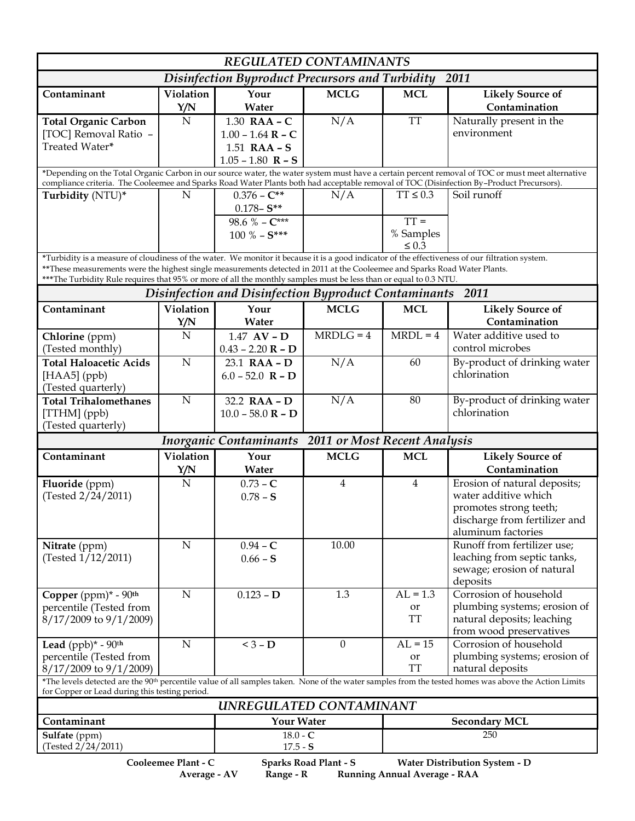| <b>REGULATED CONTAMINANTS</b>                                                                                                                                                                                                                                                                                                                                                                     |                  |                                                                                |                |                                                    |                                                                                                                                       |  |  |  |  |
|---------------------------------------------------------------------------------------------------------------------------------------------------------------------------------------------------------------------------------------------------------------------------------------------------------------------------------------------------------------------------------------------------|------------------|--------------------------------------------------------------------------------|----------------|----------------------------------------------------|---------------------------------------------------------------------------------------------------------------------------------------|--|--|--|--|
| Disinfection Byproduct Precursors and Turbidity<br>2011                                                                                                                                                                                                                                                                                                                                           |                  |                                                                                |                |                                                    |                                                                                                                                       |  |  |  |  |
| Contaminant                                                                                                                                                                                                                                                                                                                                                                                       | Violation<br>Y/N | Your<br><b>Water</b>                                                           | <b>MCLG</b>    | <b>MCL</b>                                         | <b>Likely Source of</b><br>Contamination                                                                                              |  |  |  |  |
| <b>Total Organic Carbon</b><br>[TOC] Removal Ratio -<br>Treated Water*                                                                                                                                                                                                                                                                                                                            | $\mathbf N$      | $1.30$ RAA - C<br>$1.00 - 1.64$ R - C<br>$1.51$ RAA - S<br>$1.05 - 1.80$ R – S | N/A            | <b>TT</b>                                          | Naturally present in the<br>environment                                                                                               |  |  |  |  |
| *Depending on the Total Organic Carbon in our source water, the water system must have a certain percent removal of TOC or must meet alternative<br>compliance criteria. The Cooleemee and Sparks Road Water Plants both had acceptable removal of TOC (Disinfection By-Product Precursors).                                                                                                      |                  |                                                                                |                |                                                    |                                                                                                                                       |  |  |  |  |
| Turbidity (NTU)*                                                                                                                                                                                                                                                                                                                                                                                  | N                | $0.376 - C^{**}$<br>$0.178 - S^{**}$<br>98.6 % - $C***$<br>$100\% - S***$      | N/A            | $TT \leq 0.3$<br>$TT =$<br>% Samples<br>$\leq 0.3$ | Soil runoff                                                                                                                           |  |  |  |  |
| *Turbidity is a measure of cloudiness of the water. We monitor it because it is a good indicator of the effectiveness of our filtration system.<br>**These measurements were the highest single measurements detected in 2011 at the Cooleemee and Sparks Road Water Plants.<br>***The Turbidity Rule requires that 95% or more of all the monthly samples must be less than or equal to 0.3 NTU. |                  |                                                                                |                |                                                    |                                                                                                                                       |  |  |  |  |
| Disinfection and Disinfection Byproduct Contaminants 2011                                                                                                                                                                                                                                                                                                                                         |                  |                                                                                |                |                                                    |                                                                                                                                       |  |  |  |  |
| Contaminant                                                                                                                                                                                                                                                                                                                                                                                       | Violation<br>Y/N | Your<br>Water                                                                  | <b>MCLG</b>    | <b>MCL</b>                                         | <b>Likely Source of</b><br>Contamination                                                                                              |  |  |  |  |
| Chlorine (ppm)<br>(Tested monthly)                                                                                                                                                                                                                                                                                                                                                                | ${\bf N}$        | $1.47$ AV - D<br>$0.43 - 2.20 R - D$                                           | $MRDLG = 4$    | $MRDL = 4$                                         | Water additive used to<br>control microbes                                                                                            |  |  |  |  |
| <b>Total Haloacetic Acids</b><br>$[HAA5]$ (ppb)<br>(Tested quarterly)                                                                                                                                                                                                                                                                                                                             | $\mathbf N$      | $23.1$ RAA - D<br>$6.0 - 52.0$ R - D                                           | N/A            | 60                                                 | By-product of drinking water<br>chlorination                                                                                          |  |  |  |  |
| <b>Total Trihalomethanes</b><br>[TTHM] (ppb)<br>(Tested quarterly)                                                                                                                                                                                                                                                                                                                                | $\mathbf N$      | 32.2 $RAA - D$<br>$10.0 - 58.0 R - D$                                          | N/A            | 80                                                 | By-product of drinking water<br>chlorination                                                                                          |  |  |  |  |
| 2011 or Most Recent Analysis<br><b>Inorganic Contaminants</b>                                                                                                                                                                                                                                                                                                                                     |                  |                                                                                |                |                                                    |                                                                                                                                       |  |  |  |  |
| Contaminant                                                                                                                                                                                                                                                                                                                                                                                       | Violation<br>Y/N | Your<br>Water                                                                  | <b>MCLG</b>    | <b>MCL</b>                                         | <b>Likely Source of</b><br>Contamination                                                                                              |  |  |  |  |
| Fluoride (ppm)<br>(Tested 2/24/2011)                                                                                                                                                                                                                                                                                                                                                              | $\overline{N}$   | $0.73 - C$<br>$0.78 - S$                                                       | $\overline{4}$ | $\overline{4}$                                     | Erosion of natural deposits;<br>water additive which<br>promotes strong teeth;<br>discharge from fertilizer and<br>aluminum factories |  |  |  |  |
| Nitrate (ppm)<br>(Tested 1/12/2011)                                                                                                                                                                                                                                                                                                                                                               | $\mathbf N$      | $0.94 - C$<br>$0.66 - S$                                                       | 10.00          |                                                    | Runoff from fertilizer use;<br>leaching from septic tanks,<br>sewage; erosion of natural<br>deposits                                  |  |  |  |  |
| Copper $(ppm)^*$ - $90th$<br>percentile (Tested from<br>8/17/2009 to 9/1/2009)                                                                                                                                                                                                                                                                                                                    | $\mathbf N$      | $0.123 - D$                                                                    | 1.3            | $AL = 1.3$<br>or<br><b>TT</b>                      | Corrosion of household<br>plumbing systems; erosion of<br>natural deposits; leaching<br>from wood preservatives                       |  |  |  |  |
| Lead $(ppb)^*$ - $90^{th}$<br>percentile (Tested from<br>$8/17/2009$ to $9/1/2009$                                                                                                                                                                                                                                                                                                                | $\mathbf N$      | $<$ 3 – $D$                                                                    | $\theta$       | $AL = 15$<br>or<br><b>TT</b>                       | Corrosion of household<br>plumbing systems; erosion of<br>natural deposits                                                            |  |  |  |  |
| *The levels detected are the 90 <sup>th</sup> percentile value of all samples taken. None of the water samples from the tested homes was above the Action Limits<br>for Copper or Lead during this testing period.                                                                                                                                                                                |                  |                                                                                |                |                                                    |                                                                                                                                       |  |  |  |  |
| UNREGULATED CONTAMINANT                                                                                                                                                                                                                                                                                                                                                                           |                  |                                                                                |                |                                                    |                                                                                                                                       |  |  |  |  |
| Contaminant<br>Sulfate (ppm)                                                                                                                                                                                                                                                                                                                                                                      |                  | <b>Your Water</b><br>$18.0 - C$                                                |                | <b>Secondary MCL</b><br>250                        |                                                                                                                                       |  |  |  |  |
| (Tested 2/24/2011)                                                                                                                                                                                                                                                                                                                                                                                |                  | $17.5 - S$                                                                     |                |                                                    |                                                                                                                                       |  |  |  |  |
| Cooleemee Plant - C<br>Water Distribution System - D<br><b>Sparks Road Plant - S</b><br>Range - R<br><b>Running Annual Average - RAA</b><br>Average - AV                                                                                                                                                                                                                                          |                  |                                                                                |                |                                                    |                                                                                                                                       |  |  |  |  |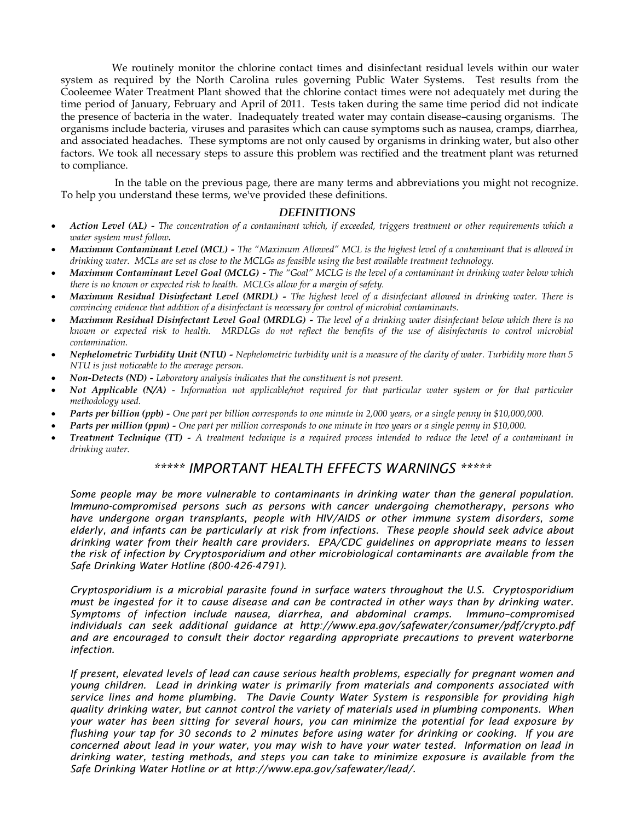We routinely monitor the chlorine contact times and disinfectant residual levels within our water system as required by the North Carolina rules governing Public Water Systems. Test results from the Cooleemee Water Treatment Plant showed that the chlorine contact times were not adequately met during the time period of January, February and April of 2011. Tests taken during the same time period did not indicate the presence of bacteria in the water. Inadequately treated water may contain disease–causing organisms. The organisms include bacteria, viruses and parasites which can cause symptoms such as nausea, cramps, diarrhea, and associated headaches. These symptoms are not only caused by organisms in drinking water, but also other factors. We took all necessary steps to assure this problem was rectified and the treatment plant was returned to compliance.

In the table on the previous page, there are many terms and abbreviations you might not recognize. To help you understand these terms, we've provided these definitions.

## *DEFINITIONS*

- *Action Level (AL) - The concentration of a contaminant which, if exceeded, triggers treatment or other requirements which a water system must follow.*
- *Maximum Contaminant Level (MCL) - The "Maximum Allowed" MCL is the highest level of a contaminant that is allowed in drinking water. MCLs are set as close to the MCLGs as feasible using the best available treatment technology.*
- *Maximum Contaminant Level Goal (MCLG) - The "Goal" MCLG is the level of a contaminant in drinking water below which there is no known or expected risk to health. MCLGs allow for a margin of safety.*
- *Maximum Residual Disinfectant Level (MRDL) - The highest level of a disinfectant allowed in drinking water. There is convincing evidence that addition of a disinfectant is necessary for control of microbial contaminants.*
- *Maximum Residual Disinfectant Level Goal (MRDLG) - The level of a drinking water disinfectant below which there is no known or expected risk to health. MRDLGs do not reflect the benefits of the use of disinfectants to control microbial contamination.*
- *Nephelometric Turbidity Unit (NTU) - Nephelometric turbidity unit is a measure of the clarity of water. Turbidity more than 5 NTU is just noticeable to the average person.*
- *Non-Detects (ND) - Laboratory analysis indicates that the constituent is not present.*
- *Not Applicable (N/A) - Information not applicable/not required for that particular water system or for that particular methodology used.*
- *Parts per billion (ppb) - One part per billion corresponds to one minute in 2,000 years, or a single penny in \$10,000,000.*
- *Parts per million (ppm) - One part per million corresponds to one minute in two years or a single penny in \$10,000.*
- *Treatment Technique (TT) - A treatment technique is a required process intended to reduce the level of a contaminant in drinking water.*

## *\*\*\*\*\* IMPORTANT HEALTH EFFECTS WARNINGS \*\*\*\*\**

*Some people may be more vulnerable to contaminants in drinking water than the general population. Immuno-compromised persons such as persons with cancer undergoing chemotherapy, persons who have undergone organ transplants, people with HIV/AIDS or other immune system disorders, some elderly, and infants can be particularly at risk from infections. These people should seek advice about drinking water from their health care providers. EPA/CDC guidelines on appropriate means to lessen the risk of infection by Cryptosporidium and other microbiological contaminants are available from the Safe Drinking Water Hotline (800-426-4791).*

*Cryptosporidium is a microbial parasite found in surface waters throughout the U.S. Cryptosporidium must be ingested for it to cause disease and can be contracted in other ways than by drinking water. Symptoms of infection include nausea, diarrhea, and abdominal cramps. Immuno–compromised individuals can seek additional guidance at http://www.epa.gov/safewater/consumer/pdf/crypto.pdf and are encouraged to consult their doctor regarding appropriate precautions to prevent waterborne infection.*

*If present, elevated levels of lead can cause serious health problems, especially for pregnant women and young children. Lead in drinking water is primarily from materials and components associated with service lines and home plumbing. The Davie County Water System is responsible for providing high quality drinking water, but cannot control the variety of materials used in plumbing components. When your water has been sitting for several hours, you can minimize the potential for lead exposure by flushing your tap for 30 seconds to 2 minutes before using water for drinking or cooking. If you are concerned about lead in your water, you may wish to have your water tested. Information on lead in drinking water, testing methods, and steps you can take to minimize exposure is available from the Safe Drinking Water Hotline or at http://www.epa.gov/safewater/lead/.*